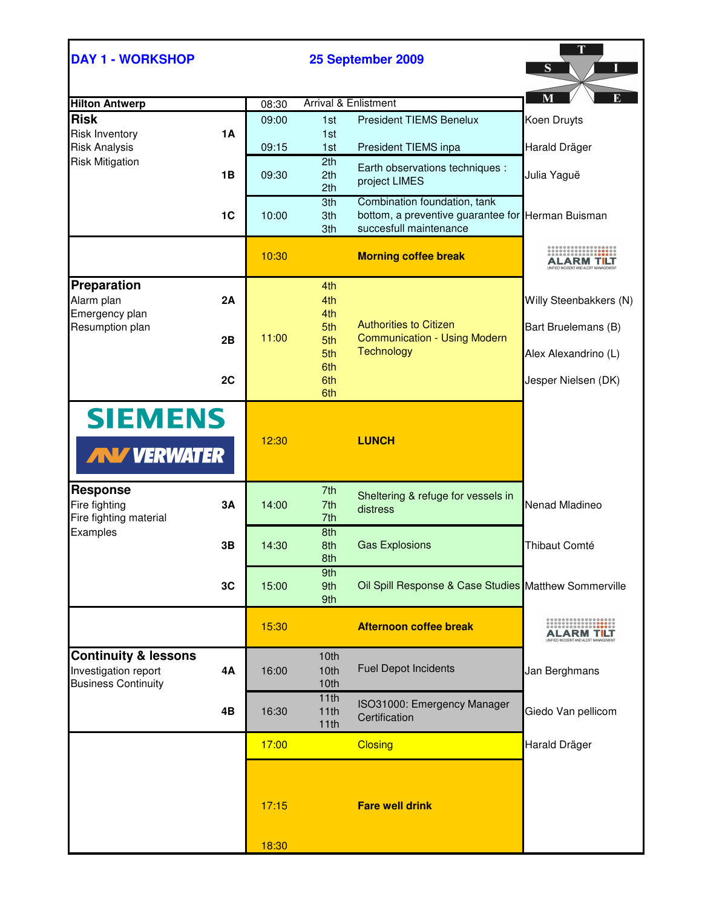| <b>DAY 1 - WORKSHOP</b>         |           |       | 25 September 2009 |                                                                                   | S                                                                |
|---------------------------------|-----------|-------|-------------------|-----------------------------------------------------------------------------------|------------------------------------------------------------------|
| <b>Hilton Antwerp</b>           |           | 08:30 |                   | <b>Arrival &amp; Enlistment</b>                                                   | M                                                                |
| <b>Risk</b>                     |           | 09:00 | 1st               | <b>President TIEMS Benelux</b>                                                    | Koen Druyts                                                      |
| <b>Risk Inventory</b>           | <b>1A</b> |       | 1st               |                                                                                   |                                                                  |
| <b>Risk Analysis</b>            |           | 09:15 | 1st               | President TIEMS inpa                                                              | Harald Dräger                                                    |
| <b>Risk Mitigation</b>          |           |       | 2th               | Earth observations techniques :                                                   |                                                                  |
|                                 | 1В        | 09:30 | 2th               | project LIMES                                                                     | Julia Yaguë                                                      |
|                                 |           |       | 2th               |                                                                                   |                                                                  |
|                                 | 1C        | 10:00 | 3th<br>3th        | Combination foundation, tank<br>bottom, a preventive guarantee for Herman Buisman |                                                                  |
|                                 |           |       | 3th               | succesfull maintenance                                                            |                                                                  |
|                                 |           |       |                   |                                                                                   |                                                                  |
|                                 |           | 10:30 |                   | <b>Morning coffee break</b>                                                       | ALARM T <b>I</b> LT                                              |
|                                 |           |       |                   |                                                                                   |                                                                  |
| Preparation                     |           |       | 4th               |                                                                                   |                                                                  |
| Alarm plan<br>Emergency plan    | 2A        |       | 4th<br>4th        |                                                                                   | Willy Steenbakkers (N)                                           |
| Resumption plan                 |           |       | 5th               | <b>Authorities to Citizen</b>                                                     | Bart Bruelemans (B)                                              |
|                                 | 2B        | 11:00 | 5th               | <b>Communication - Using Modern</b>                                               |                                                                  |
|                                 |           |       | 5th               | <b>Technology</b>                                                                 | Alex Alexandrino (L)                                             |
|                                 |           |       | 6th               |                                                                                   |                                                                  |
|                                 | 2C        |       | 6th<br>6th        |                                                                                   | Jesper Nielsen (DK)                                              |
|                                 |           |       |                   |                                                                                   |                                                                  |
| <b>SIEMENS</b>                  |           |       |                   |                                                                                   |                                                                  |
|                                 |           | 12:30 |                   | <b>LUNCH</b>                                                                      |                                                                  |
| <b>AN VERWATER</b>              |           |       |                   |                                                                                   |                                                                  |
| <b>Response</b>                 |           |       | 7th               | Sheltering & refuge for vessels in                                                |                                                                  |
| Fire fighting                   | <b>3A</b> | 14:00 | 7th               | distress                                                                          | Nenad Mladineo                                                   |
| Fire fighting material          |           |       | 7th<br>8th        |                                                                                   |                                                                  |
| Examples                        | 3B        | 14:30 | 8th               | <b>Gas Explosions</b>                                                             | Thibaut Comté                                                    |
|                                 |           |       | 8th               |                                                                                   |                                                                  |
|                                 |           |       | 9th               |                                                                                   |                                                                  |
|                                 | 3C        | 15:00 | 9th               | Oil Spill Response & Case Studies Matthew Sommerville                             |                                                                  |
|                                 |           |       | 9th               |                                                                                   |                                                                  |
|                                 |           | 15:30 |                   | <b>Afternoon coffee break</b>                                                     |                                                                  |
|                                 |           |       |                   |                                                                                   | ALARM T <mark>I</mark> LT<br>JIFIED INCIDENT AND ALERT MANAGEMEN |
| <b>Continuity &amp; lessons</b> |           |       | 10th              |                                                                                   |                                                                  |
| Investigation report            | 4A        | 16:00 | 10th              | <b>Fuel Depot Incidents</b>                                                       | Jan Berghmans                                                    |
| <b>Business Continuity</b>      |           |       | 10th              |                                                                                   |                                                                  |
|                                 | 4B        | 16:30 | 11th<br>11th      | ISO31000: Emergency Manager                                                       | Giedo Van pellicom                                               |
|                                 |           |       | 11th              | Certification                                                                     |                                                                  |
|                                 |           | 17:00 |                   | <b>Closing</b>                                                                    | Harald Dräger                                                    |
|                                 |           |       |                   |                                                                                   |                                                                  |
|                                 |           |       |                   |                                                                                   |                                                                  |
|                                 |           |       |                   |                                                                                   |                                                                  |
|                                 |           | 17:15 |                   | <b>Fare well drink</b>                                                            |                                                                  |
|                                 |           |       |                   |                                                                                   |                                                                  |
|                                 |           |       |                   |                                                                                   |                                                                  |
|                                 |           | 18:30 |                   |                                                                                   |                                                                  |